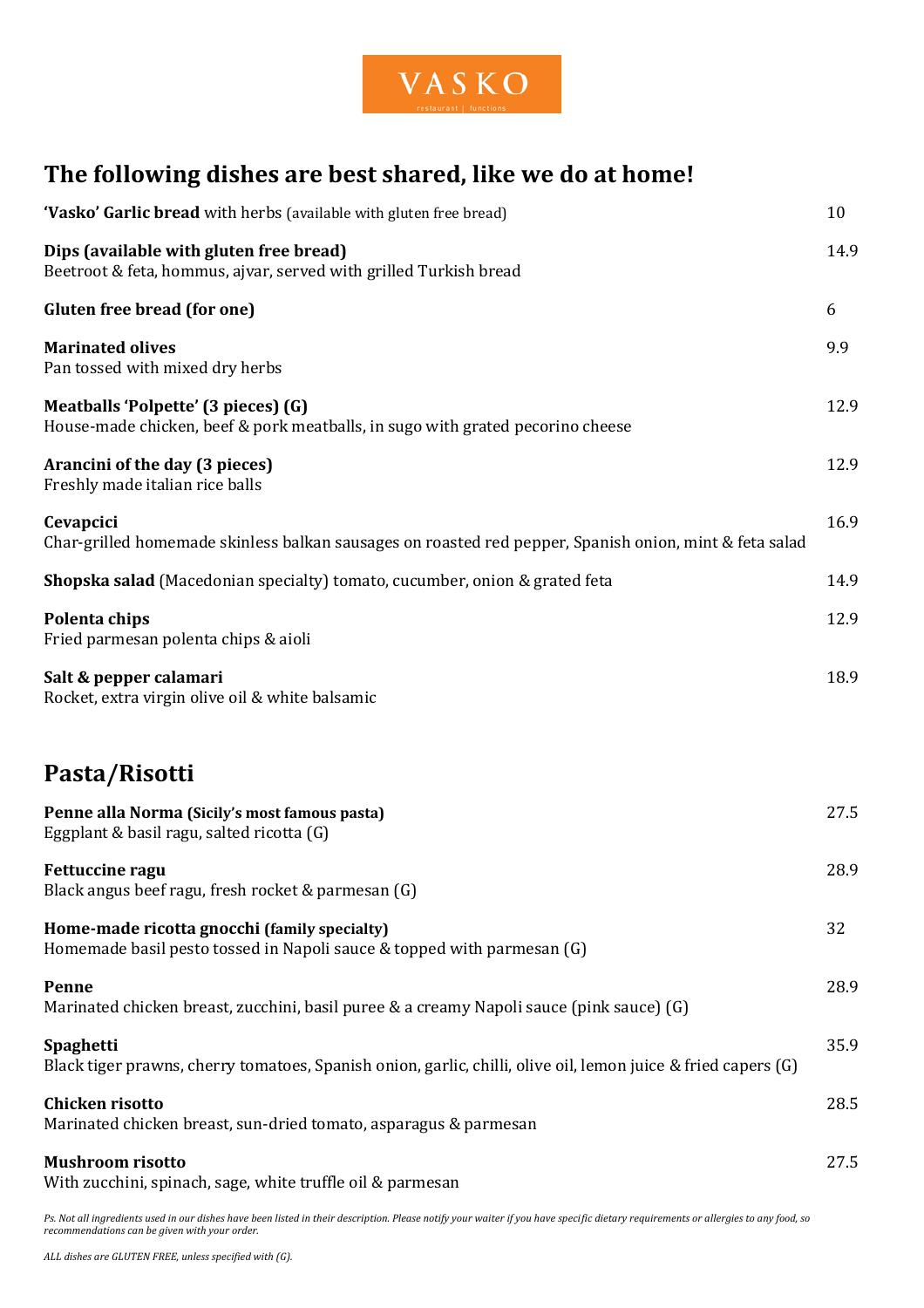

## **The following dishes are best shared, like we do at home!**

| 'Vasko' Garlic bread with herbs (available with gluten free bread)                                                         | 10   |
|----------------------------------------------------------------------------------------------------------------------------|------|
| Dips (available with gluten free bread)<br>Beetroot & feta, hommus, ajvar, served with grilled Turkish bread               | 14.9 |
| <b>Gluten free bread (for one)</b>                                                                                         | 6    |
| <b>Marinated olives</b><br>Pan tossed with mixed dry herbs                                                                 | 9.9  |
| Meatballs 'Polpette' (3 pieces) (G)<br>House-made chicken, beef & pork meatballs, in sugo with grated pecorino cheese      | 12.9 |
| Arancini of the day (3 pieces)<br>Freshly made italian rice balls                                                          | 12.9 |
| Cevapcici<br>Char-grilled homemade skinless balkan sausages on roasted red pepper, Spanish onion, mint & feta salad        | 16.9 |
| <b>Shopska salad</b> (Macedonian specialty) tomato, cucumber, onion & grated feta                                          | 14.9 |
| Polenta chips<br>Fried parmesan polenta chips & aioli                                                                      | 12.9 |
| Salt & pepper calamari<br>Rocket, extra virgin olive oil & white balsamic                                                  | 18.9 |
| Pasta/Risotti                                                                                                              |      |
| Penne alla Norma (Sicily's most famous pasta)<br>Eggplant & basil ragu, salted ricotta (G)                                 | 27.5 |
| <b>Fettuccine ragu</b><br>Black angus beef ragu, fresh rocket & parmesan (G)                                               | 28.9 |
| Home-made ricotta gnocchi (family specialty)<br>Homemade basil pesto tossed in Napoli sauce & topped with parmesan (G)     | 32   |
| Penne<br>Marinated chicken breast, zucchini, basil puree & a creamy Napoli sauce (pink sauce) (G)                          | 28.9 |
| Spaghetti<br>Black tiger prawns, cherry tomatoes, Spanish onion, garlic, chilli, olive oil, lemon juice & fried capers (G) | 35.9 |
| <b>Chicken risotto</b><br>Marinated chicken breast, sun-dried tomato, asparagus & parmesan                                 | 28.5 |
| <b>Mushroom risotto</b><br>With zucchini, spinach, sage, white truffle oil & parmesan                                      | 27.5 |

*Ps. Not all ingredients used in our dishes have been listed in their description. Please notify your waiter if you have specific dietary requirements or allergies to any food, so recommendations can be given with your order.*